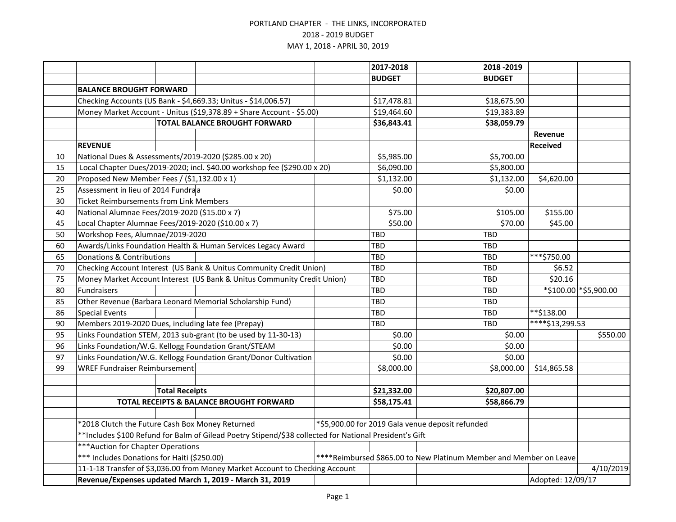|    |                                                                                                        |                                                                      |                                                |                                                                              | 2017-2018     |                                                                    | 2018 - 2019     |                   |                             |
|----|--------------------------------------------------------------------------------------------------------|----------------------------------------------------------------------|------------------------------------------------|------------------------------------------------------------------------------|---------------|--------------------------------------------------------------------|-----------------|-------------------|-----------------------------|
|    |                                                                                                        |                                                                      |                                                |                                                                              | <b>BUDGET</b> |                                                                    | <b>BUDGET</b>   |                   |                             |
|    | <b>BALANCE BROUGHT FORWARD</b>                                                                         |                                                                      |                                                |                                                                              |               |                                                                    |                 |                   |                             |
|    | Checking Accounts (US Bank - \$4,669.33; Unitus - \$14,006.57)                                         |                                                                      |                                                | \$17,478.81                                                                  |               | \$18,675.90                                                        |                 |                   |                             |
|    |                                                                                                        | Money Market Account - Unitus (\$19,378.89 + Share Account - \$5.00) |                                                |                                                                              | \$19,464.60   |                                                                    | \$19,383.89     |                   |                             |
|    | <b>TOTAL BALANCE BROUGHT FORWARD</b>                                                                   |                                                                      |                                                | \$36,843.41                                                                  |               | \$38,059.79                                                        |                 |                   |                             |
|    |                                                                                                        |                                                                      |                                                |                                                                              |               |                                                                    |                 | Revenue           |                             |
|    | <b>REVENUE</b>                                                                                         |                                                                      |                                                |                                                                              |               |                                                                    |                 | Received          |                             |
| 10 |                                                                                                        |                                                                      |                                                | National Dues & Assessments/2019-2020 (\$285.00 x 20)                        | \$5,985.00    |                                                                    | \$5,700.00      |                   |                             |
| 15 |                                                                                                        |                                                                      |                                                | Local Chapter Dues/2019-2020; incl. \$40.00 workshop fee (\$290.00 x 20)     | \$6,090.00    |                                                                    | \$5,800.00      |                   |                             |
| 20 |                                                                                                        |                                                                      |                                                | Proposed New Member Fees / (\$1,132.00 x 1)                                  | \$1,132.00    |                                                                    | \$1,132.00      | \$4,620.00        |                             |
| 25 |                                                                                                        |                                                                      | Assessment in lieu of 2014 Fundraa             |                                                                              | \$0.00        |                                                                    | \$0.00          |                   |                             |
| 30 |                                                                                                        |                                                                      | <b>Ticket Reimbursements from Link Members</b> |                                                                              |               |                                                                    |                 |                   |                             |
| 40 |                                                                                                        |                                                                      |                                                | National Alumnae Fees/2019-2020 (\$15.00 x 7)                                | \$75.00       |                                                                    | \$105.00        | \$155.00          |                             |
| 45 |                                                                                                        |                                                                      |                                                | Local Chapter Alumnae Fees/2019-2020 (\$10.00 x 7)                           | \$50.00       |                                                                    | \$70.00         | \$45.00           |                             |
| 50 |                                                                                                        |                                                                      | Workshop Fees, Alumnae/2019-2020               |                                                                              | <b>TBD</b>    |                                                                    | <b>TBD</b>      |                   |                             |
| 60 |                                                                                                        |                                                                      |                                                | Awards/Links Foundation Health & Human Services Legacy Award                 | <b>TBD</b>    |                                                                    | <b>TBD</b>      |                   |                             |
| 65 |                                                                                                        | <b>Donations &amp; Contributions</b>                                 |                                                |                                                                              | TBD           |                                                                    | <b>TBD</b>      | ***\$750.00       |                             |
| 70 | Checking Account Interest (US Bank & Unitus Community Credit Union)                                    |                                                                      |                                                | TBD                                                                          |               | <b>TBD</b>                                                         | \$6.52          |                   |                             |
| 75 |                                                                                                        |                                                                      |                                                | Money Market Account Interest (US Bank & Unitus Community Credit Union)      | TBD           |                                                                    | <b>TBD</b>      | \$20.16           |                             |
| 80 | Fundraisers                                                                                            |                                                                      |                                                |                                                                              | <b>TBD</b>    |                                                                    | <b>TBD</b>      |                   | $*$ \$100.00 $*$ \$5,900.00 |
| 85 |                                                                                                        |                                                                      |                                                | Other Revenue (Barbara Leonard Memorial Scholarship Fund)                    | TBD           |                                                                    | <b>TBD</b>      |                   |                             |
| 86 | <b>Special Events</b>                                                                                  |                                                                      |                                                |                                                                              | <b>TBD</b>    |                                                                    | <b>TBD</b>      | **\$138.00        |                             |
| 90 | Members 2019-2020 Dues, including late fee (Prepay)                                                    |                                                                      |                                                | TBD                                                                          |               | TBD                                                                | ****\$13,299.53 |                   |                             |
| 95 |                                                                                                        |                                                                      |                                                | Links Foundation STEM, 2013 sub-grant (to be used by 11-30-13)               | \$0.00        |                                                                    | \$0.00          |                   | \$550.00                    |
| 96 |                                                                                                        |                                                                      |                                                | Links Foundation/W.G. Kellogg Foundation Grant/STEAM                         | \$0.00        |                                                                    | \$0.00          |                   |                             |
| 97 |                                                                                                        |                                                                      |                                                | Links Foundation/W.G. Kellogg Foundation Grant/Donor Cultivation             | \$0.00        |                                                                    | \$0.00          |                   |                             |
| 99 |                                                                                                        |                                                                      | <b>WREF Fundraiser Reimbursement</b>           |                                                                              | \$8,000.00    |                                                                    | \$8,000.00      | \$14,865.58       |                             |
|    |                                                                                                        |                                                                      |                                                |                                                                              |               |                                                                    |                 |                   |                             |
|    |                                                                                                        |                                                                      | <b>Total Receipts</b>                          |                                                                              | \$21,332.00   |                                                                    | \$20,807.00     |                   |                             |
|    |                                                                                                        |                                                                      |                                                | TOTAL RECEIPTS & BALANCE BROUGHT FORWARD                                     | \$58,175.41   |                                                                    | \$58,866.79     |                   |                             |
|    |                                                                                                        |                                                                      |                                                |                                                                              |               |                                                                    |                 |                   |                             |
|    | *2018 Clutch the Future Cash Box Money Returned                                                        |                                                                      |                                                |                                                                              |               | *\$5,900.00 for 2019 Gala venue deposit refunded                   |                 |                   |                             |
|    | **Includes \$100 Refund for Balm of Gilead Poetry Stipend/\$38 collected for National President's Gift |                                                                      |                                                |                                                                              |               |                                                                    |                 |                   |                             |
|    | *** Auction for Chapter Operations                                                                     |                                                                      |                                                |                                                                              |               |                                                                    |                 |                   |                             |
|    |                                                                                                        |                                                                      | *** Includes Donations for Haiti (\$250.00)    |                                                                              |               | ****Reimbursed \$865.00 to New Platinum Member and Member on Leave |                 |                   |                             |
|    |                                                                                                        |                                                                      |                                                | 11-1-18 Transfer of \$3,036.00 from Money Market Account to Checking Account |               |                                                                    |                 |                   | 4/10/2019                   |
|    | Revenue/Expenses updated March 1, 2019 - March 31, 2019                                                |                                                                      |                                                |                                                                              |               |                                                                    |                 | Adopted: 12/09/17 |                             |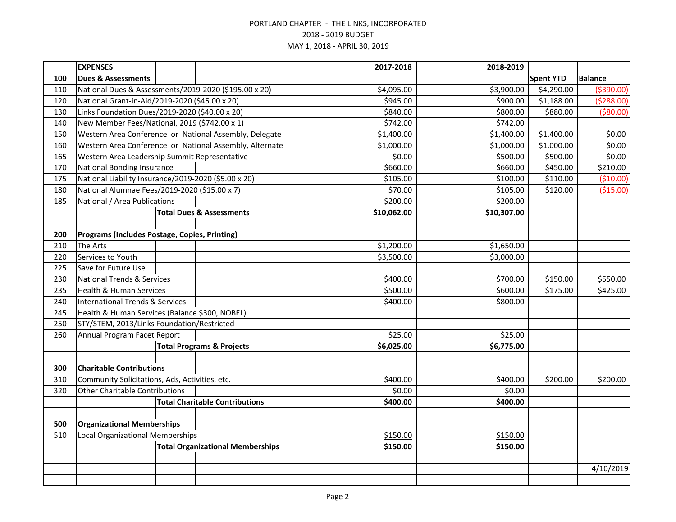|     | <b>EXPENSES</b>                                      |  |  |                                                         | 2017-2018   | 2018-2019   |                  |                |
|-----|------------------------------------------------------|--|--|---------------------------------------------------------|-------------|-------------|------------------|----------------|
| 100 | <b>Dues &amp; Assessments</b>                        |  |  |                                                         |             |             | <b>Spent YTD</b> | <b>Balance</b> |
| 110 |                                                      |  |  | National Dues & Assessments/2019-2020 (\$195.00 x 20)   | \$4,095.00  | \$3,900.00  | \$4,290.00       | ( \$390.00)    |
| 120 |                                                      |  |  | National Grant-in-Aid/2019-2020 (\$45.00 x 20)          | \$945.00    | \$900.00    | \$1,188.00       | (5288.00)      |
| 130 |                                                      |  |  | Links Foundation Dues/2019-2020 (\$40.00 x 20)          | \$840.00    | \$800.00    | \$880.00         | ( \$80.00)     |
| 140 |                                                      |  |  | New Member Fees/National, 2019 (\$742.00 x 1)           | \$742.00    | \$742.00    |                  |                |
| 150 |                                                      |  |  | Western Area Conference or National Assembly, Delegate  | \$1,400.00  | \$1,400.00  | \$1,400.00       | \$0.00         |
| 160 |                                                      |  |  | Western Area Conference or National Assembly, Alternate | \$1,000.00  | \$1,000.00  | \$1,000.00       | \$0.00         |
| 165 |                                                      |  |  | Western Area Leadership Summit Representative           | \$0.00      | \$500.00    | \$500.00         | \$0.00         |
| 170 | <b>National Bonding Insurance</b>                    |  |  |                                                         | \$660.00    | \$660.00    | \$450.00         | \$210.00       |
| 175 | National Liability Insurance/2019-2020 (\$5.00 x 20) |  |  | \$105.00                                                | \$100.00    | \$110.00    | (\$10.00)        |                |
| 180 |                                                      |  |  | National Alumnae Fees/2019-2020 (\$15.00 x 7)           | \$70.00     | \$105.00    | \$120.00         | ( \$15.00)     |
| 185 | National / Area Publications                         |  |  |                                                         | \$200.00    | \$200.00    |                  |                |
|     |                                                      |  |  | <b>Total Dues &amp; Assessments</b>                     | \$10,062.00 | \$10,307.00 |                  |                |
|     |                                                      |  |  |                                                         |             |             |                  |                |
| 200 |                                                      |  |  | Programs (Includes Postage, Copies, Printing)           |             |             |                  |                |
| 210 | The Arts                                             |  |  |                                                         | \$1,200.00  | \$1,650.00  |                  |                |
| 220 | Services to Youth                                    |  |  |                                                         | \$3,500.00  | \$3,000.00  |                  |                |
| 225 | Save for Future Use                                  |  |  |                                                         |             |             |                  |                |
| 230 | <b>National Trends &amp; Services</b>                |  |  |                                                         | \$400.00    | \$700.00    | \$150.00         | \$550.00       |
| 235 | <b>Health &amp; Human Services</b>                   |  |  |                                                         | \$500.00    | \$600.00    | \$175.00         | \$425.00       |
| 240 | <b>International Trends &amp; Services</b>           |  |  | \$400.00                                                | \$800.00    |             |                  |                |
| 245 |                                                      |  |  | Health & Human Services (Balance \$300, NOBEL)          |             |             |                  |                |
| 250 | STY/STEM, 2013/Links Foundation/Restricted           |  |  |                                                         |             |             |                  |                |
| 260 | Annual Program Facet Report                          |  |  | \$25.00                                                 | \$25.00     |             |                  |                |
|     |                                                      |  |  | <b>Total Programs &amp; Projects</b>                    | \$6,025.00  | \$6,775.00  |                  |                |
|     |                                                      |  |  |                                                         |             |             |                  |                |
| 300 | <b>Charitable Contributions</b>                      |  |  |                                                         |             |             |                  |                |
| 310 | Community Solicitations, Ads, Activities, etc.       |  |  |                                                         | \$400.00    | \$400.00    | \$200.00         | \$200.00       |
| 320 | <b>Other Charitable Contributions</b>                |  |  |                                                         | \$0.00      | \$0.00      |                  |                |
|     |                                                      |  |  | <b>Total Charitable Contributions</b>                   | \$400.00    | \$400.00    |                  |                |
|     |                                                      |  |  |                                                         |             |             |                  |                |
|     | <b>Organizational Memberships</b><br>500             |  |  |                                                         |             |             |                  |                |
| 510 | Local Organizational Memberships                     |  |  |                                                         | \$150.00    | \$150.00    |                  |                |
|     |                                                      |  |  | <b>Total Organizational Memberships</b>                 | \$150.00    | \$150.00    |                  |                |
|     |                                                      |  |  |                                                         |             |             |                  |                |
|     |                                                      |  |  |                                                         |             |             |                  | 4/10/2019      |
|     |                                                      |  |  |                                                         |             |             |                  |                |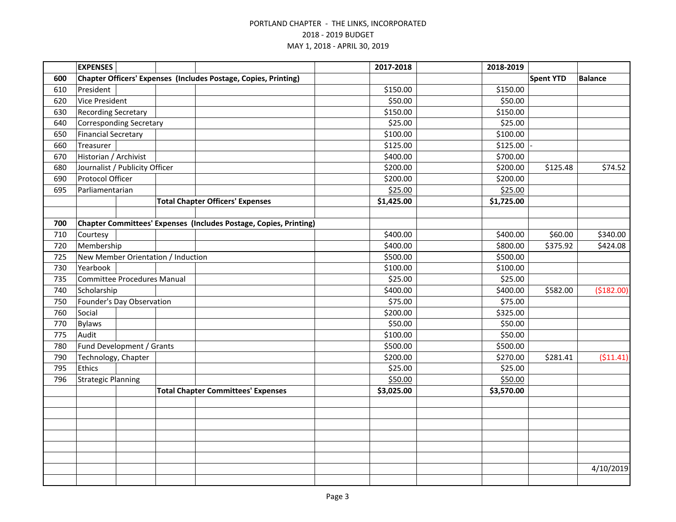|     | <b>EXPENSES</b>            |                                    |                                                                        | 2017-2018  | 2018-2019  |                  |                |
|-----|----------------------------|------------------------------------|------------------------------------------------------------------------|------------|------------|------------------|----------------|
| 600 |                            |                                    | <b>Chapter Officers' Expenses (Includes Postage, Copies, Printing)</b> |            |            | <b>Spent YTD</b> | <b>Balance</b> |
| 610 | President                  |                                    |                                                                        | \$150.00   | \$150.00   |                  |                |
| 620 | <b>Vice President</b>      |                                    |                                                                        | \$50.00    | \$50.00    |                  |                |
| 630 | <b>Recording Secretary</b> |                                    |                                                                        | \$150.00   | \$150.00   |                  |                |
| 640 |                            | <b>Corresponding Secretary</b>     |                                                                        | \$25.00    | \$25.00    |                  |                |
| 650 | <b>Financial Secretary</b> |                                    |                                                                        | \$100.00   | \$100.00   |                  |                |
| 660 | Treasurer                  |                                    |                                                                        | \$125.00   | \$125.00   |                  |                |
| 670 | Historian / Archivist      |                                    |                                                                        | \$400.00   | \$700.00   |                  |                |
| 680 |                            | Journalist / Publicity Officer     |                                                                        | \$200.00   | \$200.00   | \$125.48         | \$74.52        |
| 690 | Protocol Officer           |                                    |                                                                        | \$200.00   | \$200.00   |                  |                |
| 695 | Parliamentarian            |                                    |                                                                        | \$25.00    | \$25.00    |                  |                |
|     |                            |                                    | <b>Total Chapter Officers' Expenses</b>                                | \$1,425.00 | \$1,725.00 |                  |                |
|     |                            |                                    |                                                                        |            |            |                  |                |
| 700 |                            |                                    | Chapter Committees' Expenses (Includes Postage, Copies, Printing)      |            |            |                  |                |
| 710 | Courtesy                   |                                    |                                                                        | \$400.00   | \$400.00   | \$60.00          | \$340.00       |
| 720 | Membership                 |                                    |                                                                        | \$400.00   | \$800.00   | \$375.92         | \$424.08       |
| 725 |                            |                                    | New Member Orientation / Induction                                     | \$500.00   | \$500.00   |                  |                |
| 730 | Yearbook                   |                                    |                                                                        | \$100.00   | \$100.00   |                  |                |
| 735 |                            | <b>Committee Procedures Manual</b> |                                                                        | \$25.00    | \$25.00    |                  |                |
| 740 | Scholarship                |                                    |                                                                        | \$400.00   | \$400.00   | \$582.00         | (\$182.00)     |
| 750 |                            | Founder's Day Observation          |                                                                        | \$75.00    | \$75.00    |                  |                |
| 760 | Social                     |                                    |                                                                        | \$200.00   | \$325.00   |                  |                |
| 770 | <b>Bylaws</b>              |                                    |                                                                        | \$50.00    | \$50.00    |                  |                |
| 775 | Audit                      |                                    |                                                                        | \$100.00   | \$50.00    |                  |                |
| 780 |                            | Fund Development / Grants          |                                                                        | \$500.00   | \$500.00   |                  |                |
| 790 | Technology, Chapter        |                                    |                                                                        | \$200.00   | \$270.00   | \$281.41         | (511.41)       |
| 795 | Ethics                     |                                    |                                                                        | \$25.00    | \$25.00    |                  |                |
| 796 | <b>Strategic Planning</b>  |                                    |                                                                        | \$50.00    | \$50.00    |                  |                |
|     |                            |                                    | <b>Total Chapter Committees' Expenses</b>                              | \$3,025.00 | \$3,570.00 |                  |                |
|     |                            |                                    |                                                                        |            |            |                  |                |
|     |                            |                                    |                                                                        |            |            |                  |                |
|     |                            |                                    |                                                                        |            |            |                  |                |
|     |                            |                                    |                                                                        |            |            |                  |                |
|     |                            |                                    |                                                                        |            |            |                  |                |
|     |                            |                                    |                                                                        |            |            |                  |                |
|     |                            |                                    |                                                                        |            |            |                  | 4/10/2019      |
|     |                            |                                    |                                                                        |            |            |                  |                |